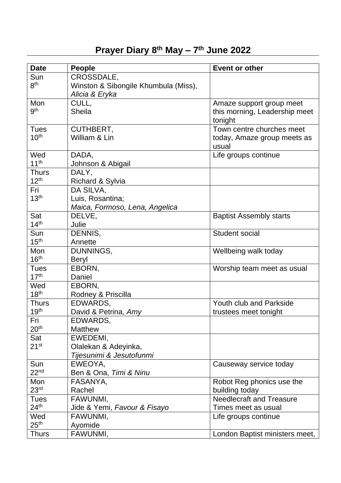## **Prayer Diary 8 th May – 7 th June 2022**

| <b>Date</b>      | <b>People</b>                        | <b>Event or other</b>           |
|------------------|--------------------------------------|---------------------------------|
| Sun              | CROSSDALE,                           |                                 |
| 8 <sup>th</sup>  | Winston & Sibongile Khumbula (Miss), |                                 |
|                  | Alicia & Eryka                       |                                 |
| Mon              | CULL,                                | Amaze support group meet        |
| gth              | <b>Sheila</b>                        | this morning, Leadership meet   |
|                  |                                      | tonight                         |
| <b>Tues</b>      | CUTHBERT,                            | Town centre churches meet       |
| 10 <sup>th</sup> | William & Lin                        | today, Amaze group meets as     |
|                  |                                      | usual                           |
| Wed              | DADA,                                | Life groups continue            |
| 11 <sup>th</sup> | Johnson & Abigail                    |                                 |
| <b>Thurs</b>     | DALY,                                |                                 |
| 12 <sup>th</sup> | Richard & Sylvia                     |                                 |
| Fri              | DA SILVA,                            |                                 |
| 13 <sup>th</sup> | Luis, Rosantina;                     |                                 |
|                  | Maica, Formoso, Lena, Angelica       |                                 |
| Sat              | DELVE,                               | <b>Baptist Assembly starts</b>  |
| 14 <sup>th</sup> | Julie                                |                                 |
| Sun              | DENNIS,                              | Student social                  |
| 15 <sup>th</sup> | Annette                              |                                 |
| Mon              | DUNNINGS,                            | Wellbeing walk today            |
| 16 <sup>th</sup> | Beryl                                |                                 |
| <b>Tues</b>      | EBORN,                               | Worship team meet as usual      |
| 17 <sup>th</sup> | Daniel                               |                                 |
| Wed              | EBORN.                               |                                 |
| 18 <sup>th</sup> | Rodney & Priscilla                   |                                 |
| <b>Thurs</b>     | EDWARDS,                             | <b>Youth club and Parkside</b>  |
| 19 <sup>th</sup> | David & Petrina, Amy                 | trustees meet tonight           |
| Fri              | EDWARDS,                             |                                 |
| 20 <sup>th</sup> | <b>Matthew</b>                       |                                 |
| Sat              | EWEDEMI,                             |                                 |
| $21^{st}$        | Olalekan & Adeyinka,                 |                                 |
|                  | Tijesunimi & Jesutofunmi             |                                 |
| Sun              | EWEOYA,                              | Causeway service today          |
| 22 <sup>nd</sup> | Ben & Ona, Timi & Ninu               |                                 |
| Mon              | FASANYA,                             | Robot Reg phonics use the       |
| 23 <sup>rd</sup> | Rachel                               | building today                  |
| <b>Tues</b>      | FAWUNMI,                             | <b>Needlecraft and Treasure</b> |
| 24 <sup>th</sup> | Jide & Yemi, Favour & Fisayo         | Times meet as usual             |
| Wed              | FAWUNMI,                             | Life groups continue            |
| 25 <sup>th</sup> | Ayomide                              |                                 |
| <b>Thurs</b>     | FAWUNMI,                             | London Baptist ministers meet,  |